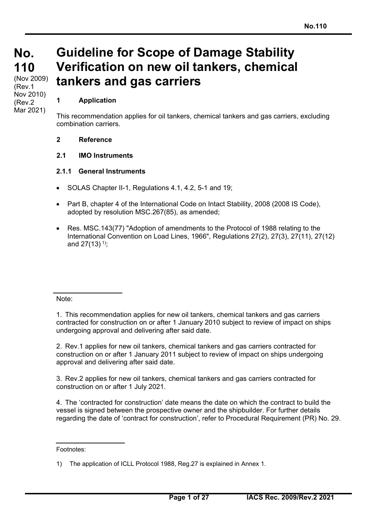### **No. No. 110 110**  (Nov 2009) (Rev.1 Nov 2010) (Rev.2 Mar 2021)

### **1 Application**

This recommendation applies for oil tankers, chemical tankers and gas carriers, excluding combination carriers.

**Guideline for Scope of Damage Stability** 

**Verification on new oil tankers, chemical** 

### **2 Reference**

### **2.1 IMO Instruments**

### **2.1.1 General Instruments**

SOLAS Chapter II-1, Regulations 4.1, 4.2, 5-1 and 19;

**tankers and gas carriers** 

- Part B, chapter 4 of the International Code on Intact Stability, 2008 (2008 IS Code), adopted by resolution MSC.267(85), as amended;
- Res. MSC.143(77) "Adoption of amendments to the Protocol of 1988 relating to the International Convention on Load Lines, 1966", Regulations 27(2), 27(3), 27(11), 27(12) and  $27(13)^{1}$ ;

#### Note:

1. This recommendation applies for new oil tankers, chemical tankers and gas carriers contracted for construction on or after 1 January 2010 subject to review of impact on ships undergoing approval and delivering after said date.

2. Rev.1 applies for new oil tankers, chemical tankers and gas carriers contracted for construction on or after 1 January 2011 subject to review of impact on ships undergoing approval and delivering after said date.

3. Rev.2 applies for new oil tankers, chemical tankers and gas carriers contracted for construction on or after 1 July 2021.

4. The 'contracted for construction' date means the date on which the contract to build the vessel is signed between the prospective owner and the shipbuilder. For further details regarding the date of 'contract for construction', refer to Procedural Requirement (PR) No. 29.

Footnotes:

<sup>1)</sup> The application of ICLL Protocol 1988, Reg.27 is explained in Annex 1.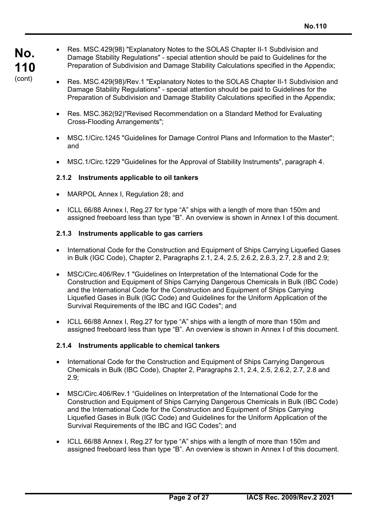- Res. MSC.429(98) "Explanatory Notes to the SOLAS Chapter II-1 Subdivision and Damage Stability Regulations" - special attention should be paid to Guidelines for the Preparation of Subdivision and Damage Stability Calculations specified in the Appendix;
- Res. MSC.429(98)/Rev.1 "Explanatory Notes to the SOLAS Chapter II-1 Subdivision and Damage Stability Regulations" - special attention should be paid to Guidelines for the Preparation of Subdivision and Damage Stability Calculations specified in the Appendix;
- Res. MSC.362(92)"Revised Recommendation on a Standard Method for Evaluating Cross-Flooding Arrangements";
- MSC.1/Circ.1245 "Guidelines for Damage Control Plans and Information to the Master"; and
- MSC.1/Circ.1229 "Guidelines for the Approval of Stability Instruments", paragraph 4.

### **2.1.2 Instruments applicable to oil tankers**

- MARPOL Annex I, Regulation 28; and
- ICLL 66/88 Annex I, Reg.27 for type "A" ships with a length of more than 150m and assigned freeboard less than type "B". An overview is shown in Annex I of this document.

### **2.1.3 Instruments applicable to gas carriers**

- International Code for the Construction and Equipment of Ships Carrying Liquefied Gases in Bulk (IGC Code), Chapter 2, Paragraphs 2.1, 2.4, 2.5, 2.6.2, 2.6.3, 2.7, 2.8 and 2.9;
- MSC/Circ.406/Rev.1 "Guidelines on Interpretation of the International Code for the Construction and Equipment of Ships Carrying Dangerous Chemicals in Bulk (IBC Code) and the International Code for the Construction and Equipment of Ships Carrying Liquefied Gases in Bulk (IGC Code) and Guidelines for the Uniform Application of the Survival Requirements of the IBC and IGC Codes"; and
- ICLL 66/88 Annex I, Reg.27 for type "A" ships with a length of more than 150m and assigned freeboard less than type "B". An overview is shown in Annex I of this document.

### **2.1.4 Instruments applicable to chemical tankers**

- International Code for the Construction and Equipment of Ships Carrying Dangerous Chemicals in Bulk (IBC Code), Chapter 2, Paragraphs 2.1, 2.4, 2.5, 2.6.2, 2.7, 2.8 and 2.9;
- MSC/Circ.406/Rev.1 "Guidelines on Interpretation of the International Code for the Construction and Equipment of Ships Carrying Dangerous Chemicals in Bulk (IBC Code) and the International Code for the Construction and Equipment of Ships Carrying Liquefied Gases in Bulk (IGC Code) and Guidelines for the Uniform Application of the Survival Requirements of the IBC and IGC Codes"; and
- ICLL 66/88 Annex I, Reg.27 for type "A" ships with a length of more than 150m and assigned freeboard less than type "B". An overview is shown in Annex I of this document.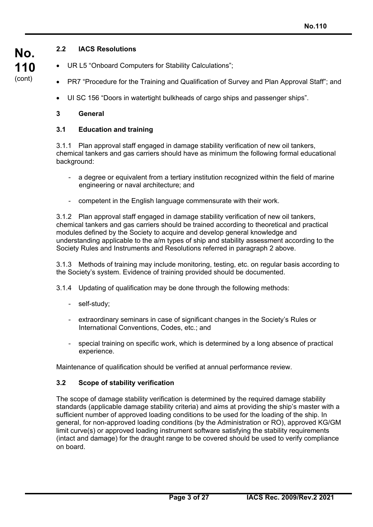### **2.2 IACS Resolutions**

- UR L5 "Onboard Computers for Stability Calculations";
- PR7 "Procedure for the Training and Qualification of Survey and Plan Approval Staff"; and
- UI SC 156 "Doors in watertight bulkheads of cargo ships and passenger ships".

### **3 General**

### **3.1 Education and training**

3.1.1 Plan approval staff engaged in damage stability verification of new oil tankers, chemical tankers and gas carriers should have as minimum the following formal educational background:

- a degree or equivalent from a tertiary institution recognized within the field of marine engineering or naval architecture; and
- competent in the English language commensurate with their work.

3.1.2 Plan approval staff engaged in damage stability verification of new oil tankers, chemical tankers and gas carriers should be trained according to theoretical and practical modules defined by the Society to acquire and develop general knowledge and understanding applicable to the a/m types of ship and stability assessment according to the Society Rules and Instruments and Resolutions referred in paragraph 2 above.

3.1.3 Methods of training may include monitoring, testing, etc. on regular basis according to the Society's system. Evidence of training provided should be documented.

3.1.4 Updating of qualification may be done through the following methods:

- self-study;

 $\overline{a}$ 

- extraordinary seminars in case of significant changes in the Society's Rules or International Conventions, Codes, etc.; and
- special training on specific work, which is determined by a long absence of practical experience.

Maintenance of qualification should be verified at annual performance review.

### **3.2 Scope of stability verification**

The scope of damage stability verification is determined by the required damage stability standards (applicable damage stability criteria) and aims at providing the ship's master with a sufficient number of approved loading conditions to be used for the loading of the ship. In general, for non-approved loading conditions (by the Administration or RO), approved KG/GM limit curve(s) or approved loading instrument software satisfying the stability requirements (intact and damage) for the draught range to be covered should be used to verify compliance on board.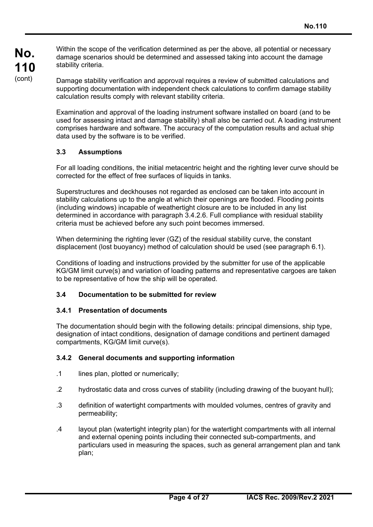Within the scope of the verification determined as per the above, all potential or necessary damage scenarios should be determined and assessed taking into account the damage stability criteria.

Damage stability verification and approval requires a review of submitted calculations and supporting documentation with independent check calculations to confirm damage stability calculation results comply with relevant stability criteria.

Examination and approval of the loading instrument software installed on board (and to be used for assessing intact and damage stability) shall also be carried out. A loading instrument comprises hardware and software. The accuracy of the computation results and actual ship data used by the software is to be verified.

### **3.3 Assumptions**

For all loading conditions, the initial metacentric height and the righting lever curve should be corrected for the effect of free surfaces of liquids in tanks.

Superstructures and deckhouses not regarded as enclosed can be taken into account in stability calculations up to the angle at which their openings are flooded. Flooding points (including windows) incapable of weathertight closure are to be included in any list determined in accordance with paragraph 3.4.2.6. Full compliance with residual stability criteria must be achieved before any such point becomes immersed.

When determining the righting lever (GZ) of the residual stability curve, the constant displacement (lost buoyancy) method of calculation should be used (see paragraph 6.1).

Conditions of loading and instructions provided by the submitter for use of the applicable KG/GM limit curve(s) and variation of loading patterns and representative cargoes are taken to be representative of how the ship will be operated.

### **3.4 Documentation to be submitted for review**

### **3.4.1 Presentation of documents**

The documentation should begin with the following details: principal dimensions, ship type, designation of intact conditions, designation of damage conditions and pertinent damaged compartments, KG/GM limit curve(s).

### **3.4.2 General documents and supporting information**

.1 lines plan, plotted or numerically:

- .2 hydrostatic data and cross curves of stability (including drawing of the buoyant hull);
- .3 definition of watertight compartments with moulded volumes, centres of gravity and permeability;
- .4 layout plan (watertight integrity plan) for the watertight compartments with all internal and external opening points including their connected sub-compartments, and particulars used in measuring the spaces, such as general arrangement plan and tank plan;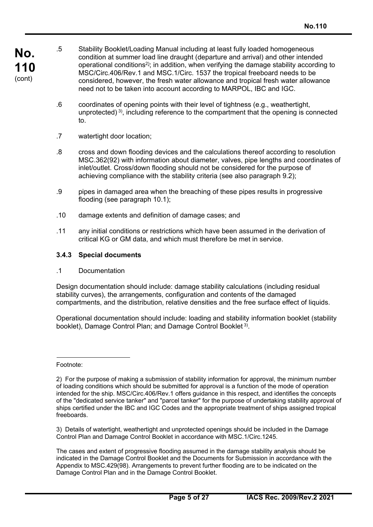- **No. 110**  (cont)
- .5 Stability Booklet/Loading Manual including at least fully loaded homogeneous condition at summer load line draught (departure and arrival) and other intended operational conditions<sup>2)</sup>; in addition, when verifying the damage stability according to MSC/Circ.406/Rev.1 and MSC.1/Circ. 1537 the tropical freeboard needs to be considered, however, the fresh water allowance and tropical fresh water allowance need not to be taken into account according to MARPOL, IBC and IGC.
- .6 coordinates of opening points with their level of tightness (e.g., weathertight, unprotected) 3), including reference to the compartment that the opening is connected to.
- .7 watertight door location;
- .8 cross and down flooding devices and the calculations thereof according to resolution MSC.362(92) with information about diameter, valves, pipe lengths and coordinates of inlet/outlet. Cross/down flooding should not be considered for the purpose of achieving compliance with the stability criteria (see also paragraph 9.2);
- .9 pipes in damaged area when the breaching of these pipes results in progressive flooding (see paragraph 10.1);
- .10 damage extents and definition of damage cases; and
- .11 any initial conditions or restrictions which have been assumed in the derivation of critical KG or GM data, and which must therefore be met in service.

### **3.4.3 Special documents**

.1 Documentation

Design documentation should include: damage stability calculations (including residual stability curves), the arrangements, configuration and contents of the damaged compartments, and the distribution, relative densities and the free surface effect of liquids.

Operational documentation should include: loading and stability information booklet (stability booklet), Damage Control Plan; and Damage Control Booklet<sup>3)</sup>.

Footnote:

 $\overline{a}$ 

3) Details of watertight, weathertight and unprotected openings should be included in the Damage Control Plan and Damage Control Booklet in accordance with MSC.1/Circ.1245.

The cases and extent of progressive flooding assumed in the damage stability analysis should be indicated in the Damage Control Booklet and the Documents for Submission in accordance with the Appendix to MSC.429(98). Arrangements to prevent further flooding are to be indicated on the Damage Control Plan and in the Damage Control Booklet.

<sup>2)</sup> For the purpose of making a submission of stability information for approval, the minimum number of loading conditions which should be submitted for approval is a function of the mode of operation intended for the ship. MSC/Circ.406/Rev.1 offers guidance in this respect, and identifies the concepts of the "dedicated service tanker" and "parcel tanker" for the purpose of undertaking stability approval of ships certified under the IBC and IGC Codes and the appropriate treatment of ships assigned tropical freeboards.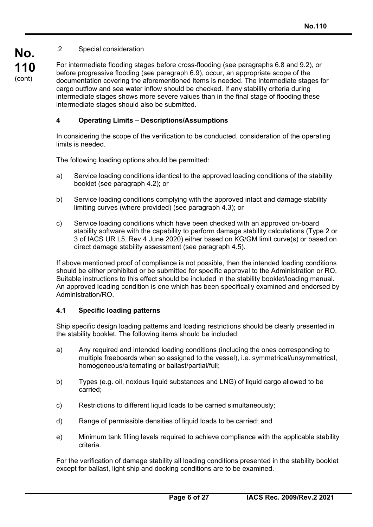### .2 Special consideration

**No. 110**  (cont)

For intermediate flooding stages before cross-flooding (see paragraphs 6.8 and 9.2), or before progressive flooding (see paragraph 6.9), occur, an appropriate scope of the documentation covering the aforementioned items is needed. The intermediate stages for cargo outflow and sea water inflow should be checked. If any stability criteria during intermediate stages shows more severe values than in the final stage of flooding these intermediate stages should also be submitted.

### **4 Operating Limits – Descriptions/Assumptions**

In considering the scope of the verification to be conducted, consideration of the operating limits is needed.

The following loading options should be permitted:

- a) Service loading conditions identical to the approved loading conditions of the stability booklet (see paragraph 4.2); or
- b) Service loading conditions complying with the approved intact and damage stability limiting curves (where provided) (see paragraph 4.3); or
- c) Service loading conditions which have been checked with an approved on-board stability software with the capability to perform damage stability calculations (Type 2 or 3 of IACS UR L5, Rev.4 June 2020) either based on KG/GM limit curve(s) or based on direct damage stability assessment (see paragraph 4.5).

If above mentioned proof of compliance is not possible, then the intended loading conditions should be either prohibited or be submitted for specific approval to the Administration or RO. Suitable instructions to this effect should be included in the stability booklet/loading manual. An approved loading condition is one which has been specifically examined and endorsed by Administration/RO.

### **4.1 Specific loading patterns**

 $\overline{a}$ 

Ship specific design loading patterns and loading restrictions should be clearly presented in the stability booklet. The following items should be included:

- a) Any required and intended loading conditions (including the ones corresponding to multiple freeboards when so assigned to the vessel), i.e. symmetrical/unsymmetrical, homogeneous/alternating or ballast/partial/full;
- b) Types (e.g. oil, noxious liquid substances and LNG) of liquid cargo allowed to be carried;
- c) Restrictions to different liquid loads to be carried simultaneously;
- d) Range of permissible densities of liquid loads to be carried; and
- e) Minimum tank filling levels required to achieve compliance with the applicable stability criteria.

For the verification of damage stability all loading conditions presented in the stability booklet except for ballast, light ship and docking conditions are to be examined.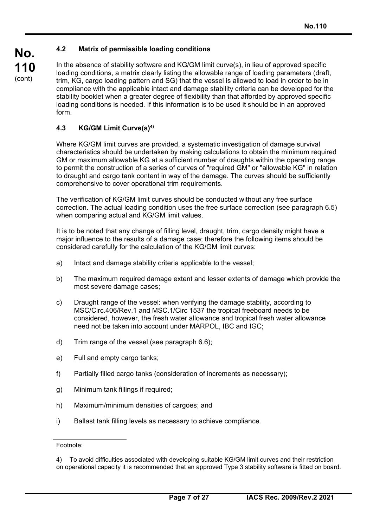### **4.2 Matrix of permissible loading conditions**

In the absence of stability software and KG/GM limit curve(s), in lieu of approved specific loading conditions, a matrix clearly listing the allowable range of loading parameters (draft, trim, KG, cargo loading pattern and SG) that the vessel is allowed to load in order to be in compliance with the applicable intact and damage stability criteria can be developed for the stability booklet when a greater degree of flexibility than that afforded by approved specific loading conditions is needed. If this information is to be used it should be in an approved form.

### **4.3 KG/GM Limit Curve(s)4)**

Where KG/GM limit curves are provided, a systematic investigation of damage survival characteristics should be undertaken by making calculations to obtain the minimum required GM or maximum allowable KG at a sufficient number of draughts within the operating range to permit the construction of a series of curves of "required GM" or "allowable KG" in relation to draught and cargo tank content in way of the damage. The curves should be sufficiently comprehensive to cover operational trim requirements.

The verification of KG/GM limit curves should be conducted without any free surface correction. The actual loading condition uses the free surface correction (see paragraph 6.5) when comparing actual and KG/GM limit values.

It is to be noted that any change of filling level, draught, trim, cargo density might have a major influence to the results of a damage case; therefore the following items should be considered carefully for the calculation of the KG/GM limit curves:

- a) Intact and damage stability criteria applicable to the vessel;
- b) The maximum required damage extent and lesser extents of damage which provide the most severe damage cases;
- c) Draught range of the vessel: when verifying the damage stability, according to MSC/Circ.406/Rev.1 and MSC.1/Circ 1537 the tropical freeboard needs to be considered, however, the fresh water allowance and tropical fresh water allowance need not be taken into account under MARPOL, IBC and IGC;
- d) Trim range of the vessel (see paragraph 6.6);
- e) Full and empty cargo tanks;
- f) Partially filled cargo tanks (consideration of increments as necessary);
- g) Minimum tank fillings if required;
- h) Maximum/minimum densities of cargoes; and
- i) Ballast tank filling levels as necessary to achieve compliance.

Footnote:

<sup>4)</sup> To avoid difficulties associated with developing suitable KG/GM limit curves and their restriction on operational capacity it is recommended that an approved Type 3 stability software is fitted on board.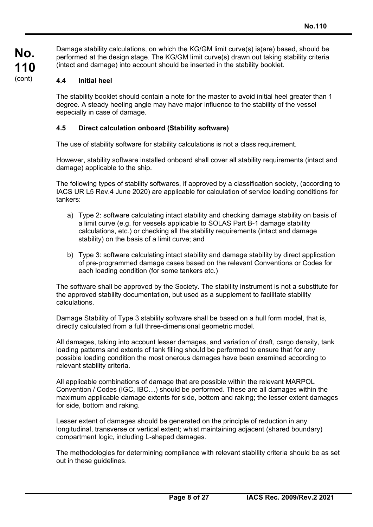Damage stability calculations, on which the KG/GM limit curve(s) is(are) based, should be performed at the design stage. The KG/GM limit curve(s) drawn out taking stability criteria (intact and damage) into account should be inserted in the stability booklet.

### **4.4 Initial heel**

 $\overline{a}$ 

The stability booklet should contain a note for the master to avoid initial heel greater than 1 degree. A steady heeling angle may have major influence to the stability of the vessel especially in case of damage.

### **4.5 Direct calculation onboard (Stability software)**

The use of stability software for stability calculations is not a class requirement.

However, stability software installed onboard shall cover all stability requirements (intact and damage) applicable to the ship.

The following types of stability softwares, if approved by a classification society, (according to IACS UR L5 Rev.4 June 2020) are applicable for calculation of service loading conditions for tankers:

- a) Type 2: software calculating intact stability and checking damage stability on basis of a limit curve (e.g. for vessels applicable to SOLAS Part B-1 damage stability calculations, etc.) or checking all the stability requirements (intact and damage stability) on the basis of a limit curve; and
- b) Type 3: software calculating intact stability and damage stability by direct application of pre-programmed damage cases based on the relevant Conventions or Codes for each loading condition (for some tankers etc.)

The software shall be approved by the Society. The stability instrument is not a substitute for the approved stability documentation, but used as a supplement to facilitate stability calculations.

Damage Stability of Type 3 stability software shall be based on a hull form model, that is, directly calculated from a full three-dimensional geometric model.

All damages, taking into account lesser damages, and variation of draft, cargo density, tank loading patterns and extents of tank filling should be performed to ensure that for any possible loading condition the most onerous damages have been examined according to relevant stability criteria.

All applicable combinations of damage that are possible within the relevant MARPOL Convention / Codes (IGC, IBC…) should be performed. These are all damages within the maximum applicable damage extents for side, bottom and raking; the lesser extent damages for side, bottom and raking.

Lesser extent of damages should be generated on the principle of reduction in any longitudinal, transverse or vertical extent; whist maintaining adjacent (shared boundary) compartment logic, including L-shaped damages.

The methodologies for determining compliance with relevant stability criteria should be as set out in these guidelines.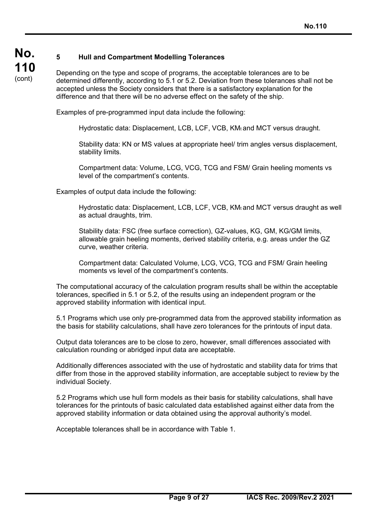### **5 Hull and Compartment Modelling Tolerances**

**No. 110**  (cont)

Depending on the type and scope of programs, the acceptable tolerances are to be determined differently, according to 5.1 or 5.2. Deviation from these tolerances shall not be accepted unless the Society considers that there is a satisfactory explanation for the difference and that there will be no adverse effect on the safety of the ship.

Examples of pre-programmed input data include the following:

Hydrostatic data: Displacement, LCB, LCF, VCB, KMt and MCT versus draught.

Stability data: KN or MS values at appropriate heel/ trim angles versus displacement, stability limits.

Compartment data: Volume, LCG, VCG, TCG and FSM/ Grain heeling moments vs level of the compartment's contents.

Examples of output data include the following:

Hydrostatic data: Displacement, LCB, LCF, VCB, KMt and MCT versus draught as well as actual draughts, trim.

Stability data: FSC (free surface correction), GZ-values, KG, GM, KG/GM limits, allowable grain heeling moments, derived stability criteria, e.g. areas under the GZ curve, weather criteria.

Compartment data: Calculated Volume, LCG, VCG, TCG and FSM/ Grain heeling moments vs level of the compartment's contents.

The computational accuracy of the calculation program results shall be within the acceptable tolerances, specified in 5.1 or 5.2, of the results using an independent program or the approved stability information with identical input.

5.1 Programs which use only pre-programmed data from the approved stability information as the basis for stability calculations, shall have zero tolerances for the printouts of input data.

Output data tolerances are to be close to zero, however, small differences associated with calculation rounding or abridged input data are acceptable.

Additionally differences associated with the use of hydrostatic and stability data for trims that differ from those in the approved stability information, are acceptable subject to review by the individual Society.

5.2 Programs which use hull form models as their basis for stability calculations, shall have tolerances for the printouts of basic calculated data established against either data from the approved stability information or data obtained using the approval authority's model.

Acceptable tolerances shall be in accordance with Table 1.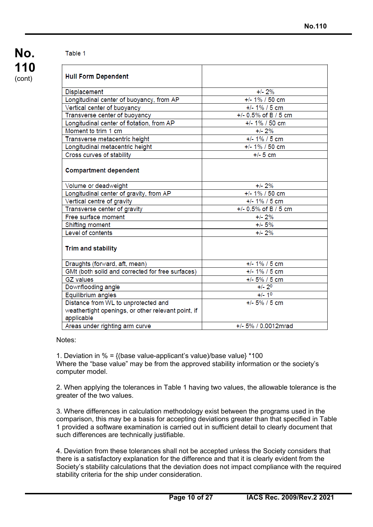### Table 1

| <b>Hull Form Dependent</b>                                       |                        |
|------------------------------------------------------------------|------------------------|
| Displacement                                                     | $+/- 2%$               |
| Longitudinal center of buoyancy, from AP                         | $+/- 1\% / 50$ cm      |
| Vertical center of buoyancy                                      | $+/- 1\% / 5$ cm       |
| Transverse center of buoyancy                                    | $+/- 0.5%$ of B / 5 cm |
| Longitudinal center of flotation, from AP                        | $+/- 1\% / 50$ cm      |
| Moment to trim 1 cm                                              | $+/- 2%$               |
| Transverse metacentric height                                    | $+/- 1\% / 5$ cm       |
| Longitudinal metacentric height                                  | $+/- 1\% / 50$ cm      |
| Cross curves of stability                                        | $+/- 5$ cm             |
| <b>Compartment dependent</b>                                     |                        |
| Volume or deadweight                                             | $+/- 2%$               |
| Longitudinal center of gravity, from AP                          | $+/- 1\% / 50$ cm      |
| Vertical centre of gravity                                       | $+/- 1\% / 5$ cm       |
| Transverse center of gravity                                     | $+/- 0.5%$ of B / 5 cm |
| Free surface moment                                              | $+/- 2%$               |
| Shifting moment                                                  | $+/- 5%$               |
| Level of contents                                                | $+/- 2%$               |
| <b>Trim and stability</b>                                        |                        |
| Draughts (forward, aft, mean)                                    | $+/- 1\% / 5$ cm       |
| GMt (both solid and corrected for free surfaces)                 | $+/- 1\% / 5$ cm       |
| <b>GZ</b> values                                                 | $+/- 5\% / 5$ cm       |
| Downflooding angle                                               | $+/- 20$               |
| Equilibrium angles                                               | $+/- 10$               |
| Distance from WL to unprotected and                              | $+/- 5\% / 5$ cm       |
| weathertight openings, or other relevant point, if<br>applicable |                        |
| Areas under righting arm curve                                   | +/- 5% / 0.0012mrad    |

Notes:

 $\overline{a}$ 

1. Deviation in  $% = \{$ (base value-applicant's value)/base value} \*100 Where the "base value" may be from the approved stability information or the society's computer model.

2. When applying the tolerances in Table 1 having two values, the allowable tolerance is the greater of the two values.

3. Where differences in calculation methodology exist between the programs used in the comparison, this may be a basis for accepting deviations greater than that specified in Table 1 provided a software examination is carried out in sufficient detail to clearly document that such differences are technically justifiable.

4. Deviation from these tolerances shall not be accepted unless the Society considers that there is a satisfactory explanation for the difference and that it is clearly evident from the Society's stability calculations that the deviation does not impact compliance with the required stability criteria for the ship under consideration.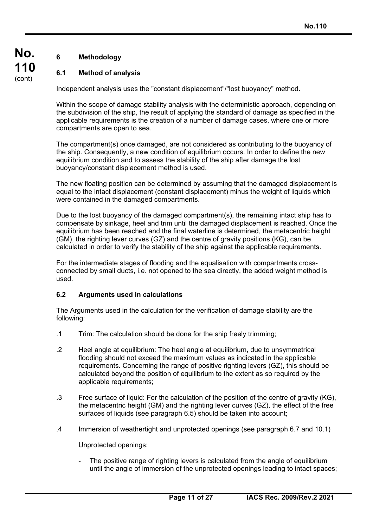## **6 Methodology**

**No.** 

**110**  (cont)

### **6.1 Method of analysis**

Independent analysis uses the "constant displacement"/"lost buoyancy" method.

Within the scope of damage stability analysis with the deterministic approach, depending on the subdivision of the ship, the result of applying the standard of damage as specified in the applicable requirements is the creation of a number of damage cases, where one or more compartments are open to sea.

The compartment(s) once damaged, are not considered as contributing to the buoyancy of the ship. Consequently, a new condition of equilibrium occurs. In order to define the new equilibrium condition and to assess the stability of the ship after damage the lost buoyancy/constant displacement method is used.

The new floating position can be determined by assuming that the damaged displacement is equal to the intact displacement (constant displacement) minus the weight of liquids which were contained in the damaged compartments.

Due to the lost buoyancy of the damaged compartment(s), the remaining intact ship has to compensate by sinkage, heel and trim until the damaged displacement is reached. Once the equilibrium has been reached and the final waterline is determined, the metacentric height (GM), the righting lever curves (GZ) and the centre of gravity positions (KG), can be calculated in order to verify the stability of the ship against the applicable requirements.

For the intermediate stages of flooding and the equalisation with compartments crossconnected by small ducts, i.e. not opened to the sea directly, the added weight method is used.

### **6.2 Arguments used in calculations**

The Arguments used in the calculation for the verification of damage stability are the following:

- .1 Trim: The calculation should be done for the ship freely trimming;
- .2 Heel angle at equilibrium: The heel angle at equilibrium, due to unsymmetrical flooding should not exceed the maximum values as indicated in the applicable requirements. Concerning the range of positive righting levers (GZ), this should be calculated beyond the position of equilibrium to the extent as so required by the applicable requirements;
- .3 Free surface of liquid: For the calculation of the position of the centre of gravity (KG), the metacentric height (GM) and the righting lever curves (GZ), the effect of the free surfaces of liquids (see paragraph 6.5) should be taken into account;
- .4 Immersion of weathertight and unprotected openings (see paragraph 6.7 and 10.1)

Unprotected openings:

 $\overline{a}$ 

The positive range of righting levers is calculated from the angle of equilibrium until the angle of immersion of the unprotected openings leading to intact spaces;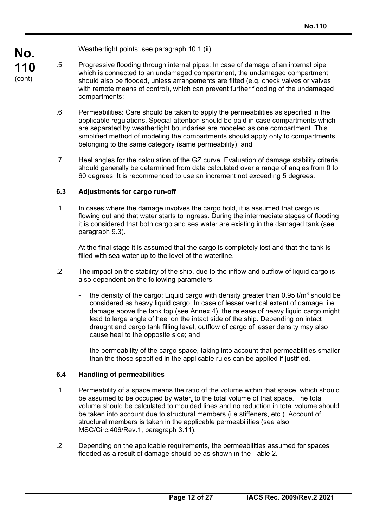Weathertight points: see paragraph 10.1 (ii);

- .5 Progressive flooding through internal pipes: In case of damage of an internal pipe which is connected to an undamaged compartment, the undamaged compartment should also be flooded, unless arrangements are fitted (e.g. check valves or valves with remote means of control), which can prevent further flooding of the undamaged compartments;
	- .6 Permeabilities: Care should be taken to apply the permeabilities as specified in the applicable regulations. Special attention should be paid in case compartments which are separated by weathertight boundaries are modeled as one compartment. This simplified method of modeling the compartments should apply only to compartments belonging to the same category (same permeability); and
	- .7 Heel angles for the calculation of the GZ curve: Evaluation of damage stability criteria should generally be determined from data calculated over a range of angles from 0 to 60 degrees. It is recommended to use an increment not exceeding 5 degrees.

### **6.3 Adjustments for cargo run-off**

.1 In cases where the damage involves the cargo hold, it is assumed that cargo is flowing out and that water starts to ingress. During the intermediate stages of flooding it is considered that both cargo and sea water are existing in the damaged tank (see paragraph 9.3).

 At the final stage it is assumed that the cargo is completely lost and that the tank is filled with sea water up to the level of the waterline.

- .2 The impact on the stability of the ship, due to the inflow and outflow of liquid cargo is also dependent on the following parameters:
	- the density of the cargo: Liquid cargo with density greater than 0.95 t/m<sup>3</sup> should be considered as heavy liquid cargo. In case of lesser vertical extent of damage, i.e. damage above the tank top (see Annex 4), the release of heavy liquid cargo might lead to large angle of heel on the intact side of the ship. Depending on intact draught and cargo tank filling level, outflow of cargo of lesser density may also cause heel to the opposite side; and
	- the permeability of the cargo space, taking into account that permeabilities smaller than the those specified in the applicable rules can be applied if justified.

### **6.4 Handling of permeabilities**

- .1 Permeability of a space means the ratio of the volume within that space, which should be assumed to be occupied by water, to the total volume of that space. The total volume should be calculated to moulded lines and no reduction in total volume should be taken into account due to structural members (i.e stiffeners, etc.). Account of structural members is taken in the applicable permeabilities (see also MSC/Circ.406/Rev.1, paragraph 3.11).
- .2 Depending on the applicable requirements, the permeabilities assumed for spaces flooded as a result of damage should be as shown in the Table 2.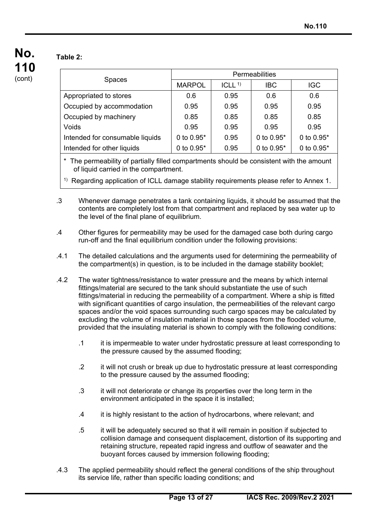### **Table 2:**

 $\overline{a}$ 

|                                 | <b>Permeabilities</b> |                      |              |              |  |
|---------------------------------|-----------------------|----------------------|--------------|--------------|--|
| <b>Spaces</b>                   | <b>MARPOL</b>         | $ICLL$ <sup>1)</sup> | <b>IBC</b>   | <b>IGC</b>   |  |
| Appropriated to stores          | 0.6                   | 0.95                 | 0.6          | 0.6          |  |
| Occupied by accommodation       | 0.95                  | 0.95                 | 0.95         | 0.95         |  |
| Occupied by machinery           | 0.85                  | 0.85                 | 0.85         | 0.85         |  |
| Voids                           | 0.95                  | 0.95                 | 0.95         | 0.95         |  |
| Intended for consumable liquids | 0 to $0.95*$          | 0.95                 | 0 to $0.95*$ | 0 to $0.95*$ |  |
| Intended for other liquids      | 0 to $0.95*$          | 0.95                 | 0 to $0.95*$ | 0 to $0.95*$ |  |
|                                 |                       |                      |              |              |  |

\* The permeability of partially filled compartments should be consistent with the amount of liquid carried in the compartment.

<sup>1)</sup> Regarding application of ICLL damage stability requirements please refer to Annex 1.

- .3 Whenever damage penetrates a tank containing liquids, it should be assumed that the contents are completely lost from that compartment and replaced by sea water up to the level of the final plane of equilibrium.
- .4 Other figures for permeability may be used for the damaged case both during cargo run-off and the final equilibrium condition under the following provisions:
- .4.1 The detailed calculations and the arguments used for determining the permeability of the compartment(s) in question, is to be included in the damage stability booklet;
- .4.2 The water tightness/resistance to water pressure and the means by which internal fittings/material are secured to the tank should substantiate the use of such fittings/material in reducing the permeability of a compartment. Where a ship is fitted with significant quantities of cargo insulation, the permeabilities of the relevant cargo spaces and/or the void spaces surrounding such cargo spaces may be calculated by excluding the volume of insulation material in those spaces from the flooded volume, provided that the insulating material is shown to comply with the following conditions:
	- .1 it is impermeable to water under hydrostatic pressure at least corresponding to the pressure caused by the assumed flooding;
	- .2 it will not crush or break up due to hydrostatic pressure at least corresponding to the pressure caused by the assumed flooding;
	- .3 it will not deteriorate or change its properties over the long term in the environment anticipated in the space it is installed;
	- .4 it is highly resistant to the action of hydrocarbons, where relevant; and
	- .5 it will be adequately secured so that it will remain in position if subjected to collision damage and consequent displacement, distortion of its supporting and retaining structure, repeated rapid ingress and outflow of seawater and the buoyant forces caused by immersion following flooding;
- .4.3 The applied permeability should reflect the general conditions of the ship throughout its service life, rather than specific loading conditions; and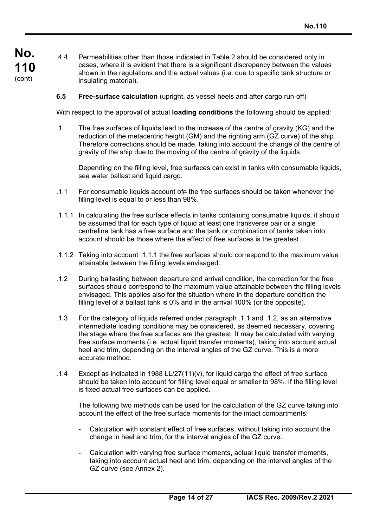$\overline{a}$ 

- .4.4 Permeabilities other than those indicated in Table 2 should be considered only in cases, where it is evident that there is a significant discrepancy between the values shown in the regulations and the actual values (i.e. due to specific tank structure or insulating material).
- **6.5 Free-surface calculation** (upright, as vessel heels and after cargo run-off)

With respect to the approval of actual **loading conditions** the following should be applied:

.1 The free surfaces of liquids lead to the increase of the centre of gravity (KG) and the reduction of the metacentric height (GM) and the righting arm (GZ curve) of the ship. Therefore corrections should be made, taking into account the change of the centre of gravity of the ship due to the moving of the centre of gravity of the liquids.

 Depending on the filling level, free surfaces can exist in tanks with consumable liquids, sea water ballast and liquid cargo.

- .1.1 For consumable liquids account ofn the free surfaces should be taken whenever the filling level is equal to or less than 98%.
- .1.1.1 In calculating the free surface effects in tanks containing consumable liquids, it should be assumed that for each type of liquid at least one transverse pair or a single centreline tank has a free surface and the tank or combination of tanks taken into account should be those where the effect of free surfaces is the greatest.
- .1.1.2 Taking into account .1.1.1 the free surfaces should correspond to the maximum value attainable between the filling levels envisaged.
- .1.2 During ballasting between departure and arrival condition, the correction for the free surfaces should correspond to the maximum value attainable between the filling levels envisaged. This applies also for the situation where in the departure condition the filling level of a ballast tank is 0% and in the arrival 100% (or the opposite).
- .1.3 For the category of liquids referred under paragraph .1.1 and .1.2, as an alternative intermediate loading conditions may be considered, as deemed necessary, covering the stage where the free surfaces are the greatest. It may be calculated with varying free surface moments (i.e. actual liquid transfer moments), taking into account actual heel and trim, depending on the interval angles of the GZ curve. This is a more accurate method.
- .1.4 Except as indicated in 1988 LL/27(11)(v), for liquid cargo the effect of free surface should be taken into account for filling level equal or smaller to 98%. If the filling level is fixed actual free surfaces can be applied.

 The following two methods can be used for the calculation of the GZ curve taking into account the effect of the free surface moments for the intact compartments:

- Calculation with constant effect of free surfaces, without taking into account the change in heel and trim, for the interval angles of the GZ curve.
- Calculation with varying free surface moments, actual liquid transfer moments, taking into account actual heel and trim, depending on the interval angles of the GZ curve (see Annex 2).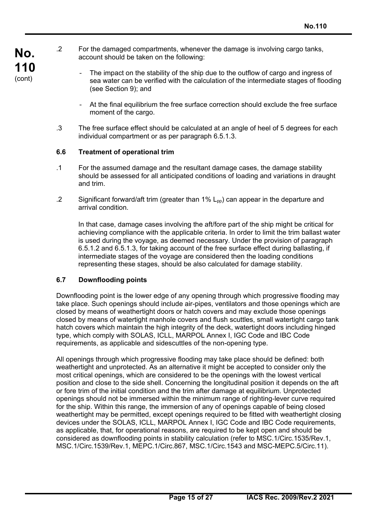- .2 For the damaged compartments, whenever the damage is involving cargo tanks, account should be taken on the following:
	- The impact on the stability of the ship due to the outflow of cargo and ingress of sea water can be verified with the calculation of the intermediate stages of flooding (see Section 9); and
	- At the final equilibrium the free surface correction should exclude the free surface moment of the cargo.
	- .3 The free surface effect should be calculated at an angle of heel of 5 degrees for each individual compartment or as per paragraph 6.5.1.3.

### **6.6 Treatment of operational trim**

- .1 For the assumed damage and the resultant damage cases, the damage stability should be assessed for all anticipated conditions of loading and variations in draught and trim.
- .2 Significant forward/aft trim (greater than  $1\%$  L<sub>pp</sub>) can appear in the departure and arrival condition.

In that case, damage cases involving the aft/fore part of the ship might be critical for achieving compliance with the applicable criteria. In order to limit the trim ballast water is used during the voyage, as deemed necessary. Under the provision of paragraph 6.5.1.2 and 6.5.1.3, for taking account of the free surface effect during ballasting, if intermediate stages of the voyage are considered then the loading conditions representing these stages, should be also calculated for damage stability.

### **6.7 Downflooding points**

 $\overline{a}$ 

Downflooding point is the lower edge of any opening through which progressive flooding may take place. Such openings should include air-pipes, ventilators and those openings which are closed by means of weathertight doors or hatch covers and may exclude those openings closed by means of watertight manhole covers and flush scuttles, small watertight cargo tank hatch covers which maintain the high integrity of the deck, watertight doors including hinged type, which comply with SOLAS, ICLL, MARPOL Annex I, IGC Code and IBC Code requirements, as applicable and sidescuttles of the non-opening type.

All openings through which progressive flooding may take place should be defined: both weathertight and unprotected. As an alternative it might be accepted to consider only the most critical openings, which are considered to be the openings with the lowest vertical position and close to the side shell. Concerning the longitudinal position it depends on the aft or fore trim of the initial condition and the trim after damage at equilibrium. Unprotected openings should not be immersed within the minimum range of righting-lever curve required for the ship. Within this range, the immersion of any of openings capable of being closed weathertight may be permitted, except openings required to be fitted with weathertight closing devices under the SOLAS, ICLL, MARPOL Annex I, IGC Code and IBC Code requirements, as applicable, that, for operational reasons, are required to be kept open and should be considered as downflooding points in stability calculation (refer to MSC.1/Circ.1535/Rev.1, MSC.1/Circ.1539/Rev.1, MEPC.1/Circ.867, MSC.1/Circ.1543 and MSC-MEPC.5/Circ.11).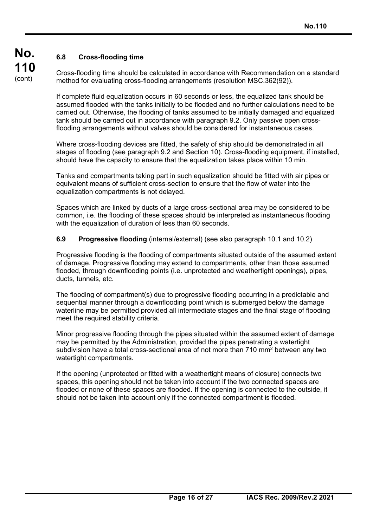$\overline{a}$ 

## **6.8 Cross-flooding time**

Cross-flooding time should be calculated in accordance with Recommendation on a standard method for evaluating cross-flooding arrangements (resolution MSC.362(92)).

If complete fluid equalization occurs in 60 seconds or less, the equalized tank should be assumed flooded with the tanks initially to be flooded and no further calculations need to be carried out. Otherwise, the flooding of tanks assumed to be initially damaged and equalized tank should be carried out in accordance with paragraph 9.2. Only passive open crossflooding arrangements without valves should be considered for instantaneous cases.

Where cross-flooding devices are fitted, the safety of ship should be demonstrated in all stages of flooding (see paragraph 9.2 and Section 10). Cross-flooding equipment, if installed, should have the capacity to ensure that the equalization takes place within 10 min.

Tanks and compartments taking part in such equalization should be fitted with air pipes or equivalent means of sufficient cross-section to ensure that the flow of water into the equalization compartments is not delayed.

Spaces which are linked by ducts of a large cross-sectional area may be considered to be common, i.e. the flooding of these spaces should be interpreted as instantaneous flooding with the equalization of duration of less than 60 seconds.

### **6.9 Progressive flooding** (internal/external) (see also paragraph 10.1 and 10.2)

Progressive flooding is the flooding of compartments situated outside of the assumed extent of damage. Progressive flooding may extend to compartments, other than those assumed flooded, through downflooding points (i.e. unprotected and weathertight openings), pipes, ducts, tunnels, etc.

The flooding of compartment(s) due to progressive flooding occurring in a predictable and sequential manner through a downflooding point which is submerged below the damage waterline may be permitted provided all intermediate stages and the final stage of flooding meet the required stability criteria.

Minor progressive flooding through the pipes situated within the assumed extent of damage may be permitted by the Administration, provided the pipes penetrating a watertight subdivision have a total cross-sectional area of not more than 710 mm<sup>2</sup> between any two watertight compartments.

If the opening (unprotected or fitted with a weathertight means of closure) connects two spaces, this opening should not be taken into account if the two connected spaces are flooded or none of these spaces are flooded. If the opening is connected to the outside, it should not be taken into account only if the connected compartment is flooded.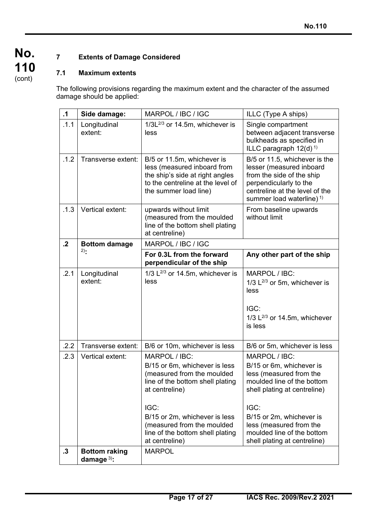$\overline{a}$ 

## **7 Extents of Damage Considered**

## **7.1 Maximum extents**

The following provisions regarding the maximum extent and the character of the assumed damage should be applied:

| $\cdot$ 1 | Side damage:                         | MARPOL / IBC / IGC                                                                                                                                                                                                                                              | ILLC (Type A ships)                                                                                                                                                                                                                                             |  |
|-----------|--------------------------------------|-----------------------------------------------------------------------------------------------------------------------------------------------------------------------------------------------------------------------------------------------------------------|-----------------------------------------------------------------------------------------------------------------------------------------------------------------------------------------------------------------------------------------------------------------|--|
| .1.1      | Longitudinal<br>extent:              | $1/3L^{2/3}$ or 14.5m, whichever is<br>less                                                                                                                                                                                                                     | Single compartment<br>between adjacent transverse<br>bulkheads as specified in<br>ILLC paragraph $12(d)^{1}$                                                                                                                                                    |  |
| .1.2      | Transverse extent:                   | B/5 or 11.5m, whichever is<br>less (measured inboard from<br>the ship's side at right angles<br>to the centreline at the level of<br>the summer load line)                                                                                                      | B/5 or 11.5, whichever is the<br>lesser (measured inboard<br>from the side of the ship<br>perpendicularly to the<br>centreline at the level of the<br>summer load waterline) $1$                                                                                |  |
| .1.3      | Vertical extent:                     | upwards without limit<br>(measured from the moulded<br>line of the bottom shell plating<br>at centreline)                                                                                                                                                       | From baseline upwards<br>without limit                                                                                                                                                                                                                          |  |
| $\cdot$   | <b>Bottom damage</b>                 | MARPOL / IBC / IGC                                                                                                                                                                                                                                              |                                                                                                                                                                                                                                                                 |  |
|           | $2)$ :                               | For 0.3L from the forward<br>perpendicular of the ship                                                                                                                                                                                                          | Any other part of the ship                                                                                                                                                                                                                                      |  |
| .2.1      | Longitudinal<br>extent:              | 1/3 $L^{2/3}$ or 14.5m, whichever is<br>less                                                                                                                                                                                                                    | MARPOL / IBC:<br>1/3 $L^{2/3}$ or 5m, whichever is<br>less<br>IGC:<br>1/3 $L^{2/3}$ or 14.5m, whichever<br>is less                                                                                                                                              |  |
| .2.2      | Transverse extent:                   | B/6 or 10m, whichever is less                                                                                                                                                                                                                                   | B/6 or 5m, whichever is less                                                                                                                                                                                                                                    |  |
| .2.3      | Vertical extent:                     | MARPOL / IBC:<br>B/15 or 6m, whichever is less<br>(measured from the moulded<br>line of the bottom shell plating<br>at centreline)<br>IGC:<br>B/15 or 2m, whichever is less<br>(measured from the moulded<br>line of the bottom shell plating<br>at centreline) | MARPOL / IBC:<br>B/15 or 6m, whichever is<br>less (measured from the<br>moulded line of the bottom<br>shell plating at centreline)<br>IGC:<br>B/15 or 2m, whichever is<br>less (measured from the<br>moulded line of the bottom<br>shell plating at centreline) |  |
| $\cdot$ 3 | <b>Bottom raking</b><br>damage $3$ : | <b>MARPOL</b>                                                                                                                                                                                                                                                   |                                                                                                                                                                                                                                                                 |  |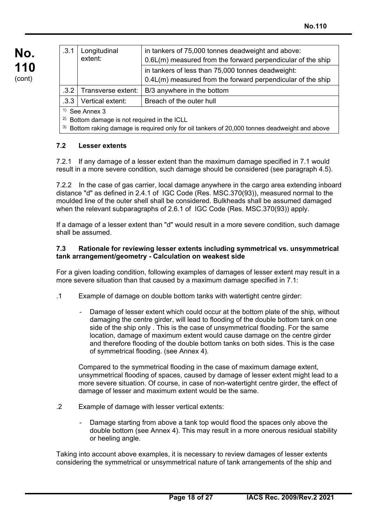| .3.1 | Longitudinal<br>extent: | in tankers of 75,000 tonnes deadweight and above:<br>0.6L(m) measured from the forward perpendicular of the ship |
|------|-------------------------|------------------------------------------------------------------------------------------------------------------|
|      |                         | in tankers of less than 75,000 tonnes deadweight:<br>0.4L(m) measured from the forward perpendicular of the ship |
| .3.2 | Transverse extent:      | B/3 anywhere in the bottom                                                                                       |
| .3.3 | Vertical extent:        | Breach of the outer hull                                                                                         |
|      | See Annex 3             |                                                                                                                  |

2) Bottom damage is not required in the ICLL

 $3)$  Bottom raking damage is required only for oil tankers of 20,000 tonnes deadweight and above

### **7.2 Lesser extents**

7.2.1 If any damage of a lesser extent than the maximum damage specified in 7.1 would result in a more severe condition, such damage should be considered (see paragraph 4.5).

7.2.2 In the case of gas carrier, local damage anywhere in the cargo area extending inboard distance "d" as defined in 2.4.1 of IGC Code (Res. MSC.370(93)), measured normal to the moulded line of the outer shell shall be considered. Bulkheads shall be assumed damaged when the relevant subparagraphs of 2.6.1 of IGC Code (Res. MSC.370(93)) apply.

If a damage of a lesser extent than "d" would result in a more severe condition, such damage shall be assumed.

#### **7.3 Rationale for reviewing lesser extents including symmetrical vs. unsymmetrical tank arrangement/geometry - Calculation on weakest side**

For a given loading condition, following examples of damages of lesser extent may result in a more severe situation than that caused by a maximum damage specified in 7.1:

- .1 Example of damage on double bottom tanks with watertight centre girder:
	- Damage of lesser extent which could occur at the bottom plate of the ship, without damaging the centre girder, will lead to flooding of the double bottom tank on one side of the ship only . This is the case of unsymmetrical flooding. For the same location, damage of maximum extent would cause damage on the centre girder and therefore flooding of the double bottom tanks on both sides. This is the case of symmetrical flooding. (see Annex 4).

 Compared to the symmetrical flooding in the case of maximum damage extent, unsymmetrical flooding of spaces, caused by damage of lesser extent might lead to a more severe situation. Of course, in case of non-watertight centre girder, the effect of damage of lesser and maximum extent would be the same.

.2 Example of damage with lesser vertical extents:

 $\overline{a}$ 

Damage starting from above a tank top would flood the spaces only above the double bottom (see Annex 4). This may result in a more onerous residual stability or heeling angle.

Taking into account above examples, it is necessary to review damages of lesser extents considering the symmetrical or unsymmetrical nature of tank arrangements of the ship and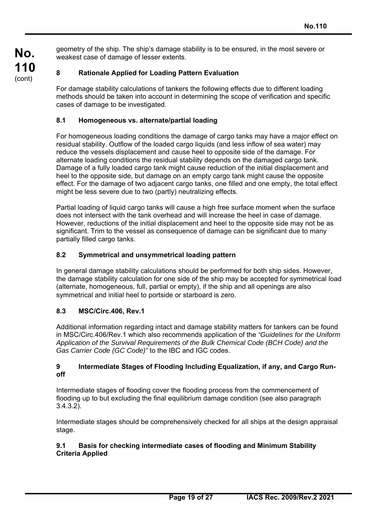geometry of the ship. The ship's damage stability is to be ensured, in the most severe or weakest case of damage of lesser extents.

### **8 Rationale Applied for Loading Pattern Evaluation**

For damage stability calculations of tankers the following effects due to different loading methods should be taken into account in determining the scope of verification and specific cases of damage to be investigated.

### **8.1 Homogeneous vs. alternate/partial loading**

For homogeneous loading conditions the damage of cargo tanks may have a major effect on residual stability. Outflow of the loaded cargo liquids (and less inflow of sea water) may reduce the vessels displacement and cause heel to opposite side of the damage. For alternate loading conditions the residual stability depends on the damaged cargo tank. Damage of a fully loaded cargo tank might cause reduction of the initial displacement and heel to the opposite side, but damage on an empty cargo tank might cause the opposite effect. For the damage of two adjacent cargo tanks, one filled and one empty, the total effect might be less severe due to two (partly) neutralizing effects.

Partial loading of liquid cargo tanks will cause a high free surface moment when the surface does not intersect with the tank overhead and will increase the heel in case of damage. However, reductions of the initial displacement and heel to the opposite side may not be as significant. Trim to the vessel as consequence of damage can be significant due to many partially filled cargo tanks.

### **8.2 Symmetrical and unsymmetrical loading pattern**

In general damage stability calculations should be performed for both ship sides. However, the damage stability calculation for one side of the ship may be accepted for symmetrical load (alternate, homogeneous, full, partial or empty), if the ship and all openings are also symmetrical and initial heel to portside or starboard is zero.

### **8.3 MSC/Circ.406, Rev.1**

 $\overline{a}$ 

Additional information regarding intact and damage stability matters for tankers can be found in MSC/Circ.406/Rev.1 which also recommends application of the *"Guidelines for the Uniform Application of the Survival Requirements of the Bulk Chemical Code (BCH Code) and the Gas Carrier Code (GC Code)"* to the IBC and IGC codes.

### **9 Intermediate Stages of Flooding Including Equalization, if any, and Cargo Runoff**

Intermediate stages of flooding cover the flooding process from the commencement of flooding up to but excluding the final equilibrium damage condition (see also paragraph 3.4.3.2).

Intermediate stages should be comprehensively checked for all ships at the design appraisal stage.

### **9.1 Basis for checking intermediate cases of flooding and Minimum Stability Criteria Applied**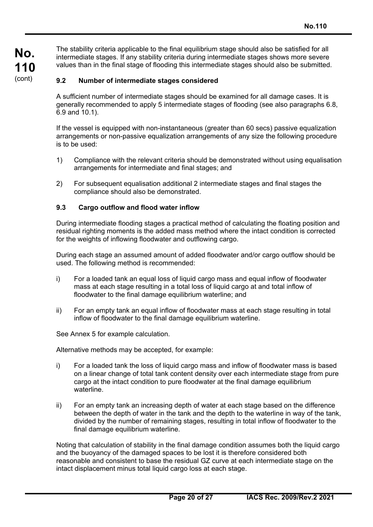The stability criteria applicable to the final equilibrium stage should also be satisfied for all intermediate stages. If any stability criteria during intermediate stages shows more severe values than in the final stage of flooding this intermediate stages should also be submitted.

### **9.2 Number of intermediate stages considered**

A sufficient number of intermediate stages should be examined for all damage cases. It is generally recommended to apply 5 intermediate stages of flooding (see also paragraphs 6.8, 6.9 and 10.1).

If the vessel is equipped with non-instantaneous (greater than 60 secs) passive equalization arrangements or non-passive equalization arrangements of any size the following procedure is to be used:

- 1) Compliance with the relevant criteria should be demonstrated without using equalisation arrangements for intermediate and final stages; and
- 2) For subsequent equalisation additional 2 intermediate stages and final stages the compliance should also be demonstrated.

### **9.3 Cargo outflow and flood water inflow**

During intermediate flooding stages a practical method of calculating the floating position and residual righting moments is the added mass method where the intact condition is corrected for the weights of inflowing floodwater and outflowing cargo.

During each stage an assumed amount of added floodwater and/or cargo outflow should be used. The following method is recommended:

- i) For a loaded tank an equal loss of liquid cargo mass and equal inflow of floodwater mass at each stage resulting in a total loss of liquid cargo at and total inflow of floodwater to the final damage equilibrium waterline; and
- ii) For an empty tank an equal inflow of floodwater mass at each stage resulting in total inflow of floodwater to the final damage equilibrium waterline.

See Annex 5 for example calculation.

 $\overline{a}$ 

Alternative methods may be accepted, for example:

- i) For a loaded tank the loss of liquid cargo mass and inflow of floodwater mass is based on a linear change of total tank content density over each intermediate stage from pure cargo at the intact condition to pure floodwater at the final damage equilibrium waterline.
- ii) For an empty tank an increasing depth of water at each stage based on the difference between the depth of water in the tank and the depth to the waterline in way of the tank, divided by the number of remaining stages, resulting in total inflow of floodwater to the final damage equilibrium waterline.

Noting that calculation of stability in the final damage condition assumes both the liquid cargo and the buoyancy of the damaged spaces to be lost it is therefore considered both reasonable and consistent to base the residual GZ curve at each intermediate stage on the intact displacement minus total liquid cargo loss at each stage.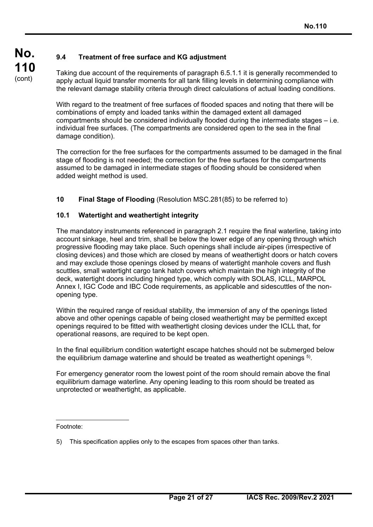## **9.4 Treatment of free surface and KG adjustment**

Taking due account of the requirements of paragraph 6.5.1.1 it is generally recommended to apply actual liquid transfer moments for all tank filling levels in determining compliance with the relevant damage stability criteria through direct calculations of actual loading conditions.

With regard to the treatment of free surfaces of flooded spaces and noting that there will be combinations of empty and loaded tanks within the damaged extent all damaged compartments should be considered individually flooded during the intermediate stages – i.e. individual free surfaces. (The compartments are considered open to the sea in the final damage condition).

The correction for the free surfaces for the compartments assumed to be damaged in the final stage of flooding is not needed; the correction for the free surfaces for the compartments assumed to be damaged in intermediate stages of flooding should be considered when added weight method is used.

### **10 Final Stage of Flooding** (Resolution MSC.281(85) to be referred to)

### **10.1 Watertight and weathertight integrity**

The mandatory instruments referenced in paragraph 2.1 require the final waterline, taking into account sinkage, heel and trim, shall be below the lower edge of any opening through which progressive flooding may take place. Such openings shall include air-pipes (irrespective of closing devices) and those which are closed by means of weathertight doors or hatch covers and may exclude those openings closed by means of watertight manhole covers and flush scuttles, small watertight cargo tank hatch covers which maintain the high integrity of the deck, watertight doors including hinged type, which comply with SOLAS, ICLL, MARPOL Annex I, IGC Code and IBC Code requirements, as applicable and sidescuttles of the nonopening type.

Within the required range of residual stability, the immersion of any of the openings listed above and other openings capable of being closed weathertight may be permitted except openings required to be fitted with weathertight closing devices under the ICLL that, for operational reasons, are required to be kept open.

In the final equilibrium condition watertight escape hatches should not be submerged below the equilibrium damage waterline and should be treated as weathertight openings 5).

For emergency generator room the lowest point of the room should remain above the final equilibrium damage waterline. Any opening leading to this room should be treated as unprotected or weathertight, as applicable.

Footnote:

<sup>5)</sup> This specification applies only to the escapes from spaces other than tanks.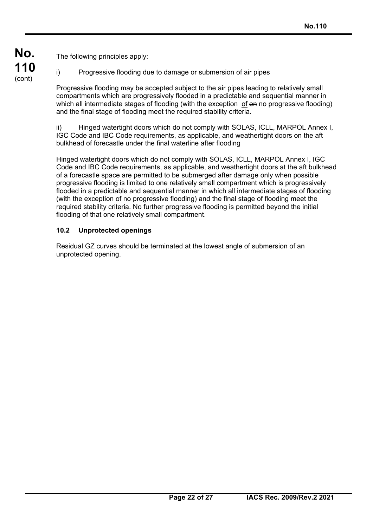The following principles apply:

i) Progressive flooding due to damage or submersion of air pipes

Progressive flooding may be accepted subject to the air pipes leading to relatively small compartments which are progressively flooded in a predictable and sequential manner in which all intermediate stages of flooding (with the exception of  $\Theta$  no progressive flooding) and the final stage of flooding meet the required stability criteria.

ii) Hinged watertight doors which do not comply with SOLAS, ICLL, MARPOL Annex I, IGC Code and IBC Code requirements, as applicable, and weathertight doors on the aft bulkhead of forecastle under the final waterline after flooding

Hinged watertight doors which do not comply with SOLAS, ICLL, MARPOL Annex I, IGC Code and IBC Code requirements, as applicable, and weathertight doors at the aft bulkhead of a forecastle space are permitted to be submerged after damage only when possible progressive flooding is limited to one relatively small compartment which is progressively flooded in a predictable and sequential manner in which all intermediate stages of flooding (with the exception of no progressive flooding) and the final stage of flooding meet the required stability criteria. No further progressive flooding is permitted beyond the initial flooding of that one relatively small compartment.

### **10.2 Unprotected openings**

 $\overline{a}$ 

Residual GZ curves should be terminated at the lowest angle of submersion of an unprotected opening.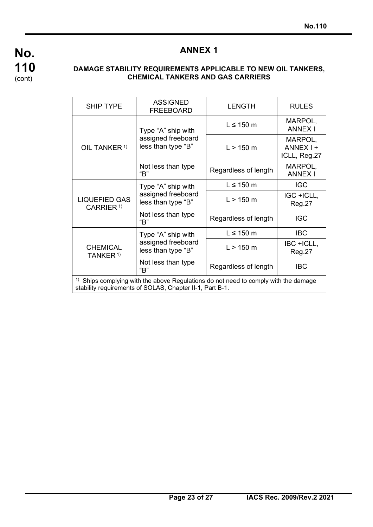

 $\overline{a}$ 

## **ANNEX 1**

### **DAMAGE STABILITY REQUIREMENTS APPLICABLE TO NEW OIL TANKERS, CHEMICAL TANKERS AND GAS CARRIERS**

| <b>SHIP TYPE</b>                                                                                                                                 | <b>ASSIGNED</b><br><b>FREEBOARD</b>                            | <b>LENGTH</b>        | <b>RULES</b>                         |
|--------------------------------------------------------------------------------------------------------------------------------------------------|----------------------------------------------------------------|----------------------|--------------------------------------|
| OIL TANKER <sup>1)</sup>                                                                                                                         | Type "A" ship with<br>assigned freeboard<br>less than type "B" | $L \leq 150$ m       | MARPOL,<br><b>ANNEX I</b>            |
|                                                                                                                                                  |                                                                | L > 150 m            | MARPOL,<br>ANNEX I +<br>ICLL, Reg.27 |
|                                                                                                                                                  | Not less than type<br>"B"                                      | Regardless of length | MARPOL,<br><b>ANNEX I</b>            |
| <b>LIQUEFIED GAS</b><br>CARRIER <sup>1)</sup>                                                                                                    | Type "A" ship with<br>assigned freeboard<br>less than type "B" | $L \leq 150$ m       | <b>IGC</b>                           |
|                                                                                                                                                  |                                                                | $L > 150$ m          | IGC +ICLL,<br>Reg.27                 |
|                                                                                                                                                  | Not less than type<br>"B"                                      | Regardless of length | <b>IGC</b>                           |
| <b>CHEMICAL</b><br>TANKER <sup>1)</sup>                                                                                                          | Type "A" ship with<br>assigned freeboard<br>less than type "B" | $L \leq 150$ m       | <b>IBC</b>                           |
|                                                                                                                                                  |                                                                | $L > 150$ m          | IBC +ICLL,<br>Reg.27                 |
|                                                                                                                                                  | Not less than type<br>"B"                                      | Regardless of length | <b>IBC</b>                           |
| $1$ Ships complying with the above Regulations do not need to comply with the damage<br>stability requirements of SOLAS, Chapter II-1, Part B-1. |                                                                |                      |                                      |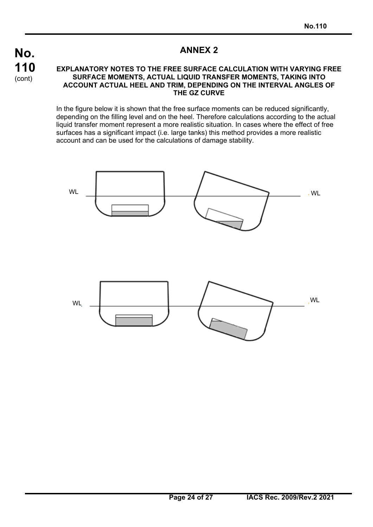

 $\overline{a}$ 

## **ANNEX 2**

#### **EXPLANATORY NOTES TO THE FREE SURFACE CALCULATION WITH VARYING FREE SURFACE MOMENTS, ACTUAL LIQUID TRANSFER MOMENTS, TAKING INTO ACCOUNT ACTUAL HEEL AND TRIM, DEPENDING ON THE INTERVAL ANGLES OF THE GZ CURVE**

In the figure below it is shown that the free surface moments can be reduced significantly, depending on the filling level and on the heel. Therefore calculations according to the actual liquid transfer moment represent a more realistic situation. In cases where the effect of free surfaces has a significant impact (i.e. large tanks) this method provides a more realistic account and can be used for the calculations of damage stability.

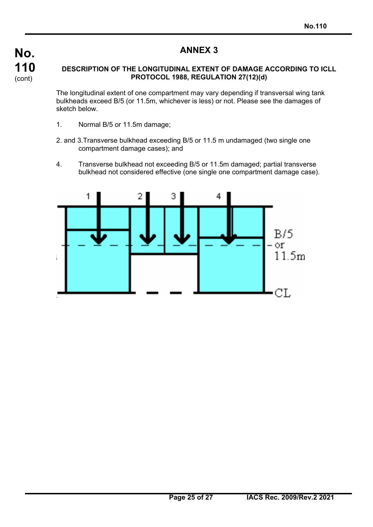$\overline{a}$ 

## **ANNEX 3**

### **DESCRIPTION OF THE LONGITUDINAL EXTENT OF DAMAGE ACCORDING TO ICLL PROTOCOL 1988, REGULATION 27(12)(d)**

The longitudinal extent of one compartment may vary depending if transversal wing tank bulkheads exceed B/5 (or 11.5m, whichever is less) or not. Please see the damages of sketch below.

- 1. Normal B/5 or 11.5m damage;
- 2. and 3.Transverse bulkhead exceeding B/5 or 11.5 m undamaged (two single one compartment damage cases); and
- 4. Transverse bulkhead not exceeding B/5 or 11.5m damaged; partial transverse bulkhead not considered effective (one single one compartment damage case).

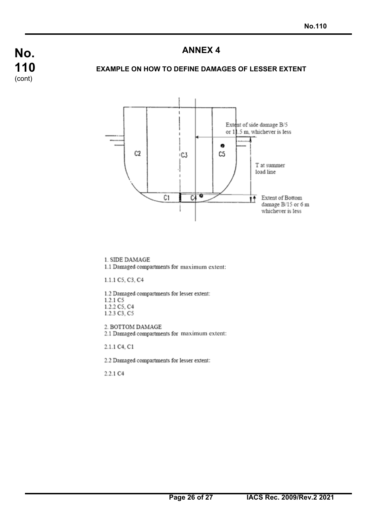## **ANNEX 4**

### **EXAMPLE ON HOW TO DEFINE DAMAGES OF LESSER EXTENT**



1. SIDE DAMAGE

1.1 Damaged compartments for maximum extent:

1.1.1 C5, C3, C4

1.2 Damaged compartments for lesser extent: 1.2.1 C5 1.2.2 C5, C4 1.2.3 C3, C5

2. BOTTOM DAMAGE 2.1 Damaged compartments for maximum extent:

2.1.1 C4, C1

2.2 Damaged compartments for lesser extent:

2.2.1 C4

 $\overline{a}$ 

**No.** 

**110**  (cont)